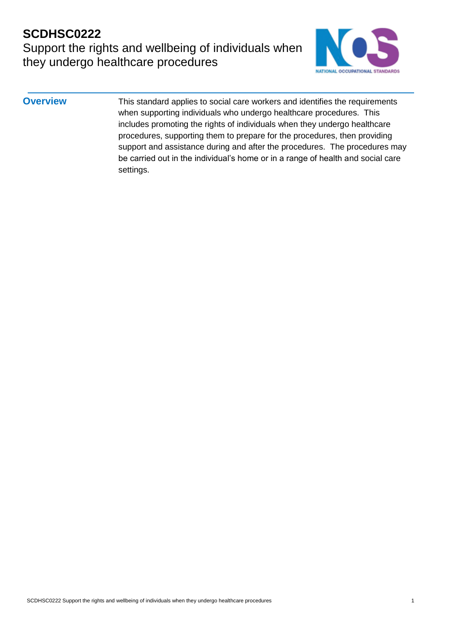Support the rights and wellbeing of individuals when they undergo healthcare procedures



**Overview** This standard applies to social care workers and identifies the requirements when supporting individuals who undergo healthcare procedures. This includes promoting the rights of individuals when they undergo healthcare procedures, supporting them to prepare for the procedures, then providing support and assistance during and after the procedures. The procedures may be carried out in the individual's home or in a range of health and social care settings.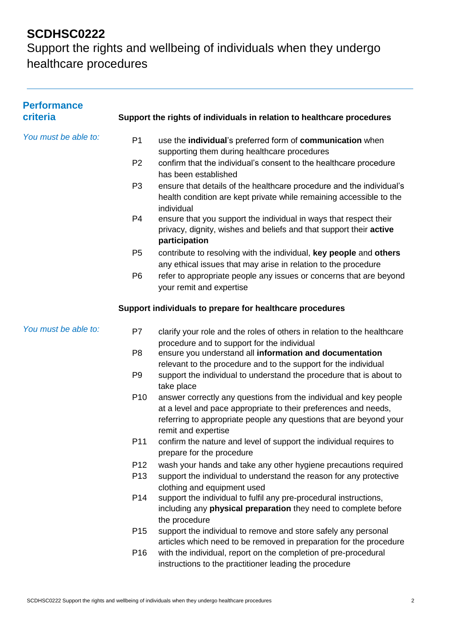| <b>Performance</b><br>criteria |                 | Support the rights of individuals in relation to healthcare procedures                                                                                                                                                            |
|--------------------------------|-----------------|-----------------------------------------------------------------------------------------------------------------------------------------------------------------------------------------------------------------------------------|
| You must be able to:           | P <sub>1</sub>  | use the individual's preferred form of communication when<br>supporting them during healthcare procedures                                                                                                                         |
|                                | P <sub>2</sub>  | confirm that the individual's consent to the healthcare procedure<br>has been established                                                                                                                                         |
|                                | P <sub>3</sub>  | ensure that details of the healthcare procedure and the individual's<br>health condition are kept private while remaining accessible to the<br>individual                                                                         |
|                                | P <sub>4</sub>  | ensure that you support the individual in ways that respect their<br>privacy, dignity, wishes and beliefs and that support their active<br>participation                                                                          |
|                                | P <sub>5</sub>  | contribute to resolving with the individual, key people and others<br>any ethical issues that may arise in relation to the procedure                                                                                              |
|                                | P <sub>6</sub>  | refer to appropriate people any issues or concerns that are beyond<br>your remit and expertise                                                                                                                                    |
|                                |                 | Support individuals to prepare for healthcare procedures                                                                                                                                                                          |
| You must be able to:           | P7              | clarify your role and the roles of others in relation to the healthcare                                                                                                                                                           |
|                                | P <sub>8</sub>  | procedure and to support for the individual<br>ensure you understand all information and documentation<br>relevant to the procedure and to the support for the individual                                                         |
|                                | P <sub>9</sub>  | support the individual to understand the procedure that is about to<br>take place                                                                                                                                                 |
|                                | P <sub>10</sub> | answer correctly any questions from the individual and key people<br>at a level and pace appropriate to their preferences and needs,<br>referring to appropriate people any questions that are beyond your<br>remit and expertise |
|                                | P11             | confirm the nature and level of support the individual requires to<br>prepare for the procedure                                                                                                                                   |
|                                | P <sub>12</sub> | wash your hands and take any other hygiene precautions required                                                                                                                                                                   |
|                                | P <sub>13</sub> | support the individual to understand the reason for any protective<br>clothing and equipment used                                                                                                                                 |
|                                | P <sub>14</sub> | support the individual to fulfil any pre-procedural instructions,<br>including any physical preparation they need to complete before<br>the procedure                                                                             |
|                                | P <sub>15</sub> | support the individual to remove and store safely any personal<br>articles which need to be removed in preparation for the procedure                                                                                              |
|                                | P <sub>16</sub> | with the individual, report on the completion of pre-procedural<br>instructions to the practitioner leading the procedure                                                                                                         |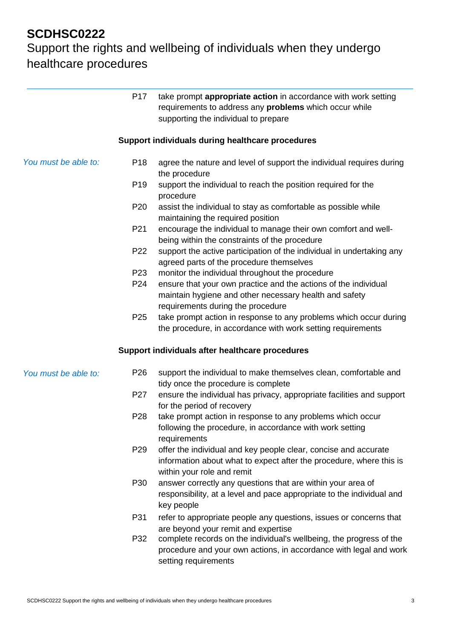|                      | P <sub>17</sub> | take prompt appropriate action in accordance with work setting<br>requirements to address any problems which occur while<br>supporting the individual to prepare     |
|----------------------|-----------------|----------------------------------------------------------------------------------------------------------------------------------------------------------------------|
|                      |                 | Support individuals during healthcare procedures                                                                                                                     |
| You must be able to: | P <sub>18</sub> | agree the nature and level of support the individual requires during<br>the procedure                                                                                |
|                      | P <sub>19</sub> | support the individual to reach the position required for the<br>procedure                                                                                           |
|                      | P <sub>20</sub> | assist the individual to stay as comfortable as possible while<br>maintaining the required position                                                                  |
|                      | P21             | encourage the individual to manage their own comfort and well-<br>being within the constraints of the procedure                                                      |
|                      | P22             | support the active participation of the individual in undertaking any<br>agreed parts of the procedure themselves                                                    |
|                      | P23             | monitor the individual throughout the procedure                                                                                                                      |
|                      | P24             | ensure that your own practice and the actions of the individual<br>maintain hygiene and other necessary health and safety<br>requirements during the procedure       |
|                      | P <sub>25</sub> | take prompt action in response to any problems which occur during<br>the procedure, in accordance with work setting requirements                                     |
|                      |                 | Support individuals after healthcare procedures                                                                                                                      |
| You must be able to: | P <sub>26</sub> | support the individual to make themselves clean, comfortable and<br>tidy once the procedure is complete                                                              |
|                      | P27             | ensure the individual has privacy, appropriate facilities and support<br>for the period of recovery                                                                  |
|                      | P28             | take prompt action in response to any problems which occur<br>following the procedure, in accordance with work setting<br>requirements                               |
|                      | P <sub>29</sub> | offer the individual and key people clear, concise and accurate<br>information about what to expect after the procedure, where this is<br>within your role and remit |
|                      | P30             | answer correctly any questions that are within your area of<br>responsibility, at a level and pace appropriate to the individual and<br>key people                   |
|                      | P31             | refer to appropriate people any questions, issues or concerns that<br>are beyond your remit and expertise                                                            |
|                      | P32             | complete records on the individual's wellbeing, the progress of the<br>procedure and your own actions, in accordance with legal and work<br>setting requirements     |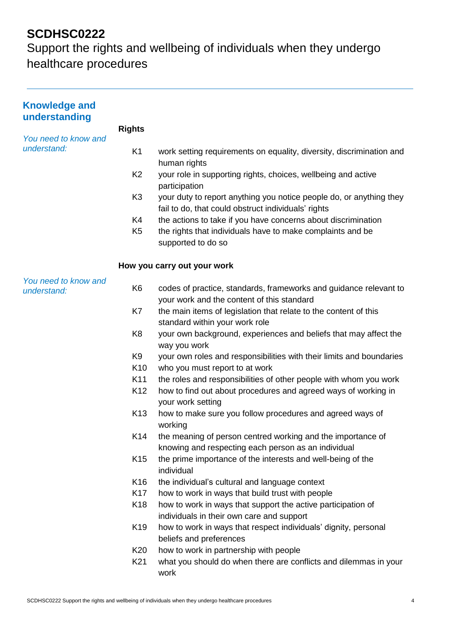| <b>Knowledge and</b><br>understanding |                 |                                                                                                                            |
|---------------------------------------|-----------------|----------------------------------------------------------------------------------------------------------------------------|
|                                       | <b>Rights</b>   |                                                                                                                            |
| You need to know and<br>understand:   | K <sub>1</sub>  | work setting requirements on equality, diversity, discrimination and<br>human rights                                       |
|                                       | K <sub>2</sub>  | your role in supporting rights, choices, wellbeing and active<br>participation                                             |
|                                       | K <sub>3</sub>  | your duty to report anything you notice people do, or anything they<br>fail to do, that could obstruct individuals' rights |
|                                       | K4              | the actions to take if you have concerns about discrimination                                                              |
|                                       | K <sub>5</sub>  | the rights that individuals have to make complaints and be<br>supported to do so                                           |
|                                       |                 | How you carry out your work                                                                                                |
| You need to know and<br>understand:   | K <sub>6</sub>  | codes of practice, standards, frameworks and guidance relevant to<br>your work and the content of this standard            |
|                                       | K7              | the main items of legislation that relate to the content of this<br>standard within your work role                         |
|                                       | K <sub>8</sub>  | your own background, experiences and beliefs that may affect the<br>way you work                                           |
|                                       | K <sub>9</sub>  | your own roles and responsibilities with their limits and boundaries                                                       |
|                                       | K <sub>10</sub> | who you must report to at work                                                                                             |
|                                       | K11             | the roles and responsibilities of other people with whom you work                                                          |
|                                       | K <sub>12</sub> | how to find out about procedures and agreed ways of working in<br>your work setting                                        |
|                                       | K <sub>13</sub> | how to make sure you follow procedures and agreed ways of<br>working                                                       |
|                                       | K <sub>14</sub> | the meaning of person centred working and the importance of<br>knowing and respecting each person as an individual         |
|                                       | K <sub>15</sub> | the prime importance of the interests and well-being of the<br>individual                                                  |
|                                       | K <sub>16</sub> | the individual's cultural and language context                                                                             |
|                                       | K <sub>17</sub> | how to work in ways that build trust with people                                                                           |
|                                       | K <sub>18</sub> | how to work in ways that support the active participation of<br>individuals in their own care and support                  |
|                                       | K <sub>19</sub> | how to work in ways that respect individuals' dignity, personal<br>beliefs and preferences                                 |
|                                       | K <sub>20</sub> | how to work in partnership with people                                                                                     |
|                                       | K <sub>21</sub> | what you should do when there are conflicts and dilemmas in your<br>work                                                   |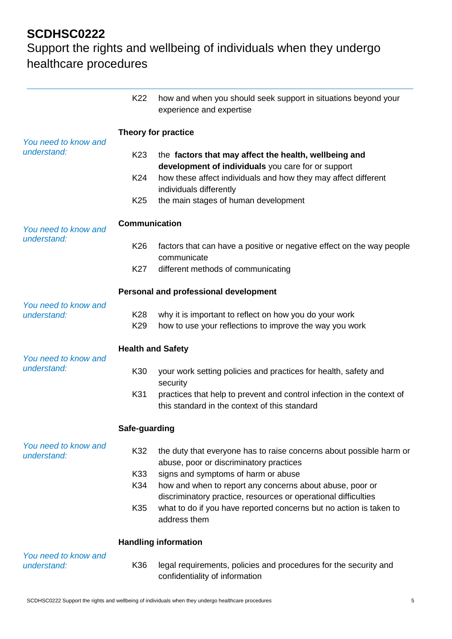|                                     | K22                    | how and when you should seek support in situations beyond your<br>experience and expertise                                 |
|-------------------------------------|------------------------|----------------------------------------------------------------------------------------------------------------------------|
|                                     |                        | <b>Theory for practice</b>                                                                                                 |
| You need to know and<br>understand: | K <sub>23</sub>        | the factors that may affect the health, wellbeing and<br>development of individuals you care for or support                |
|                                     | K24                    | how these affect individuals and how they may affect different<br>individuals differently                                  |
|                                     | K <sub>25</sub>        | the main stages of human development                                                                                       |
| You need to know and<br>understand: | <b>Communication</b>   |                                                                                                                            |
|                                     | K <sub>26</sub>        | factors that can have a positive or negative effect on the way people<br>communicate                                       |
|                                     | K27                    | different methods of communicating                                                                                         |
|                                     |                        | Personal and professional development                                                                                      |
| You need to know and<br>understand: | K28<br>K <sub>29</sub> | why it is important to reflect on how you do your work<br>how to use your reflections to improve the way you work          |
| You need to know and<br>understand: |                        | <b>Health and Safety</b>                                                                                                   |
|                                     | K30                    | your work setting policies and practices for health, safety and<br>security                                                |
|                                     | K31                    | practices that help to prevent and control infection in the context of<br>this standard in the context of this standard    |
|                                     | Safe-guarding          |                                                                                                                            |
| You need to know and<br>understand: | K32                    | the duty that everyone has to raise concerns about possible harm or<br>abuse, poor or discriminatory practices             |
|                                     | K33                    | signs and symptoms of harm or abuse                                                                                        |
|                                     | K34                    | how and when to report any concerns about abuse, poor or<br>discriminatory practice, resources or operational difficulties |
|                                     | K35                    | what to do if you have reported concerns but no action is taken to<br>address them                                         |
|                                     |                        | <b>Handling information</b>                                                                                                |
| You need to know and<br>understand: | K36                    | legal requirements, policies and procedures for the security and<br>confidentiality of information                         |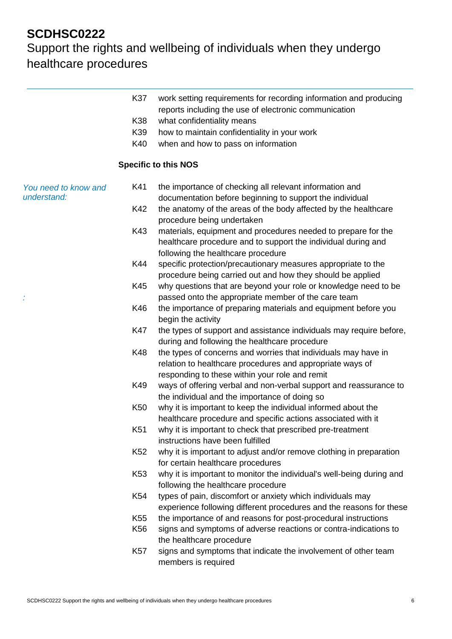|                                     | K37             | work setting requirements for recording information and producing<br>reports including the use of electronic communication                                                    |
|-------------------------------------|-----------------|-------------------------------------------------------------------------------------------------------------------------------------------------------------------------------|
|                                     | K38             | what confidentiality means                                                                                                                                                    |
|                                     | K39             | how to maintain confidentiality in your work                                                                                                                                  |
|                                     | K40             | when and how to pass on information                                                                                                                                           |
|                                     |                 |                                                                                                                                                                               |
|                                     |                 | <b>Specific to this NOS</b>                                                                                                                                                   |
| You need to know and<br>understand: | K41             | the importance of checking all relevant information and<br>documentation before beginning to support the individual                                                           |
|                                     | K42             | the anatomy of the areas of the body affected by the healthcare<br>procedure being undertaken                                                                                 |
|                                     | K43             | materials, equipment and procedures needed to prepare for the<br>healthcare procedure and to support the individual during and<br>following the healthcare procedure          |
|                                     | K44             | specific protection/precautionary measures appropriate to the<br>procedure being carried out and how they should be applied                                                   |
|                                     | K45             | why questions that are beyond your role or knowledge need to be<br>passed onto the appropriate member of the care team                                                        |
|                                     | K46             | the importance of preparing materials and equipment before you                                                                                                                |
|                                     | K47             | begin the activity<br>the types of support and assistance individuals may require before,<br>during and following the healthcare procedure                                    |
|                                     | K48             | the types of concerns and worries that individuals may have in<br>relation to healthcare procedures and appropriate ways of<br>responding to these within your role and remit |
|                                     | K49             | ways of offering verbal and non-verbal support and reassurance to<br>the individual and the importance of doing so                                                            |
|                                     | K <sub>50</sub> | why it is important to keep the individual informed about the<br>healthcare procedure and specific actions associated with it                                                 |
|                                     | K51             | why it is important to check that prescribed pre-treatment<br>instructions have been fulfilled                                                                                |
|                                     | K <sub>52</sub> | why it is important to adjust and/or remove clothing in preparation<br>for certain healthcare procedures                                                                      |
|                                     | K <sub>53</sub> | why it is important to monitor the individual's well-being during and<br>following the healthcare procedure                                                                   |
|                                     | K54             | types of pain, discomfort or anxiety which individuals may<br>experience following different procedures and the reasons for these                                             |
|                                     | K <sub>55</sub> | the importance of and reasons for post-procedural instructions                                                                                                                |
|                                     | K <sub>56</sub> | signs and symptoms of adverse reactions or contra-indications to<br>the healthcare procedure                                                                                  |
|                                     | <b>K57</b>      | signs and symptoms that indicate the involvement of other team<br>members is required                                                                                         |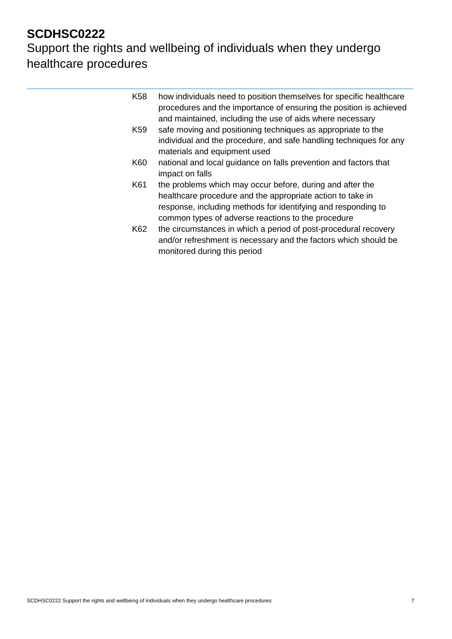L

| K <sub>58</sub><br>how individuals need to position themselves for specific healthcare<br>procedures and the importance of ensuring the position is achieved<br>and maintained, including the use of aids where necessary<br>safe moving and positioning techniques as appropriate to the<br>K59<br>individual and the procedure, and safe handling techniques for any<br>materials and equipment used<br>K60<br>national and local guidance on falls prevention and factors that<br>impact on falls<br>K61<br>the problems which may occur before, during and after the<br>healthcare procedure and the appropriate action to take in<br>response, including methods for identifying and responding to<br>common types of adverse reactions to the procedure<br>K62<br>the circumstances in which a period of post-procedural recovery<br>and/or refreshment is necessary and the factors which should be<br>monitored during this period |  |
|--------------------------------------------------------------------------------------------------------------------------------------------------------------------------------------------------------------------------------------------------------------------------------------------------------------------------------------------------------------------------------------------------------------------------------------------------------------------------------------------------------------------------------------------------------------------------------------------------------------------------------------------------------------------------------------------------------------------------------------------------------------------------------------------------------------------------------------------------------------------------------------------------------------------------------------------|--|
|                                                                                                                                                                                                                                                                                                                                                                                                                                                                                                                                                                                                                                                                                                                                                                                                                                                                                                                                            |  |
|                                                                                                                                                                                                                                                                                                                                                                                                                                                                                                                                                                                                                                                                                                                                                                                                                                                                                                                                            |  |
|                                                                                                                                                                                                                                                                                                                                                                                                                                                                                                                                                                                                                                                                                                                                                                                                                                                                                                                                            |  |
|                                                                                                                                                                                                                                                                                                                                                                                                                                                                                                                                                                                                                                                                                                                                                                                                                                                                                                                                            |  |
|                                                                                                                                                                                                                                                                                                                                                                                                                                                                                                                                                                                                                                                                                                                                                                                                                                                                                                                                            |  |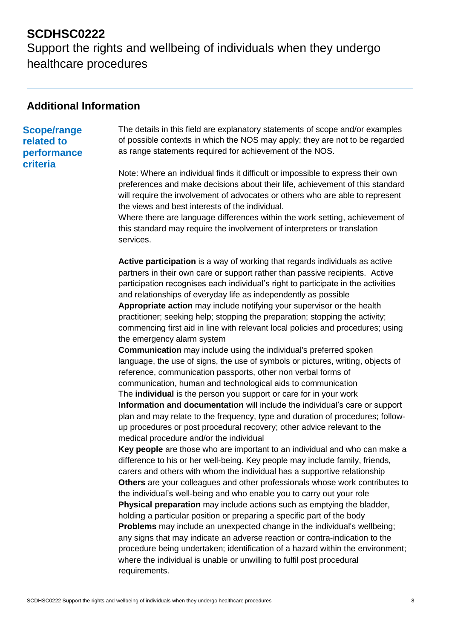Support the rights and wellbeing of individuals when they undergo healthcare procedures

#### **Additional Information**

#### **Scope/range related to performance**

**criteria**

The details in this field are explanatory statements of scope and/or examples of possible contexts in which the NOS may apply; they are not to be regarded as range statements required for achievement of the NOS.

Note: Where an individual finds it difficult or impossible to express their own preferences and make decisions about their life, achievement of this standard will require the involvement of advocates or others who are able to represent the views and best interests of the individual.

Where there are language differences within the work setting, achievement of this standard may require the involvement of interpreters or translation services.

**Active participation** is a way of working that regards individuals as active partners in their own care or support rather than passive recipients. Active participation recognises each individual's right to participate in the activities and relationships of everyday life as independently as possible **Appropriate action** may include notifying your supervisor or the health practitioner; seeking help; stopping the preparation; stopping the activity; commencing first aid in line with relevant local policies and procedures; using the emergency alarm system

**Communication** may include using the individual's preferred spoken language, the use of signs, the use of symbols or pictures, writing, objects of reference, communication passports, other non verbal forms of communication, human and technological aids to communication

The **individual** is the person you support or care for in your work **Information and documentation** will include the individual's care or support plan and may relate to the frequency, type and duration of procedures; followup procedures or post procedural recovery; other advice relevant to the medical procedure and/or the individual

**Key people** are those who are important to an individual and who can make a difference to his or her well-being. Key people may include family, friends, carers and others with whom the individual has a supportive relationship **Others** are your colleagues and other professionals whose work contributes to the individual's well-being and who enable you to carry out your role **Physical preparation** may include actions such as emptying the bladder, holding a particular position or preparing a specific part of the body **Problems** may include an unexpected change in the individual's wellbeing; any signs that may indicate an adverse reaction or contra-indication to the procedure being undertaken; identification of a hazard within the environment; where the individual is unable or unwilling to fulfil post procedural requirements.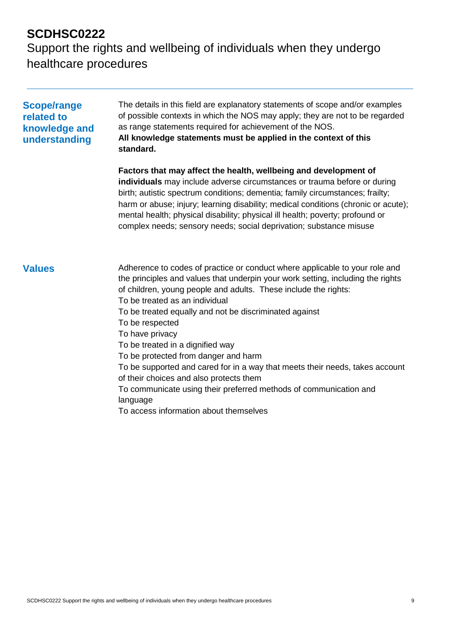| <b>Scope/range</b><br>related to<br>knowledge and<br>understanding | The details in this field are explanatory statements of scope and/or examples<br>of possible contexts in which the NOS may apply; they are not to be regarded<br>as range statements required for achievement of the NOS.<br>All knowledge statements must be applied in the context of this<br>standard.                                                                                                                                                                                                                                                                                                                                                                                             |  |  |
|--------------------------------------------------------------------|-------------------------------------------------------------------------------------------------------------------------------------------------------------------------------------------------------------------------------------------------------------------------------------------------------------------------------------------------------------------------------------------------------------------------------------------------------------------------------------------------------------------------------------------------------------------------------------------------------------------------------------------------------------------------------------------------------|--|--|
|                                                                    | Factors that may affect the health, wellbeing and development of<br>individuals may include adverse circumstances or trauma before or during<br>birth; autistic spectrum conditions; dementia; family circumstances; frailty;<br>harm or abuse; injury; learning disability; medical conditions (chronic or acute);<br>mental health; physical disability; physical ill health; poverty; profound or<br>complex needs; sensory needs; social deprivation; substance misuse                                                                                                                                                                                                                            |  |  |
| <b>Values</b>                                                      | Adherence to codes of practice or conduct where applicable to your role and<br>the principles and values that underpin your work setting, including the rights<br>of children, young people and adults. These include the rights:<br>To be treated as an individual<br>To be treated equally and not be discriminated against<br>To be respected<br>To have privacy<br>To be treated in a dignified way<br>To be protected from danger and harm<br>To be supported and cared for in a way that meets their needs, takes account<br>of their choices and also protects them<br>To communicate using their preferred methods of communication and<br>language<br>To access information about themselves |  |  |